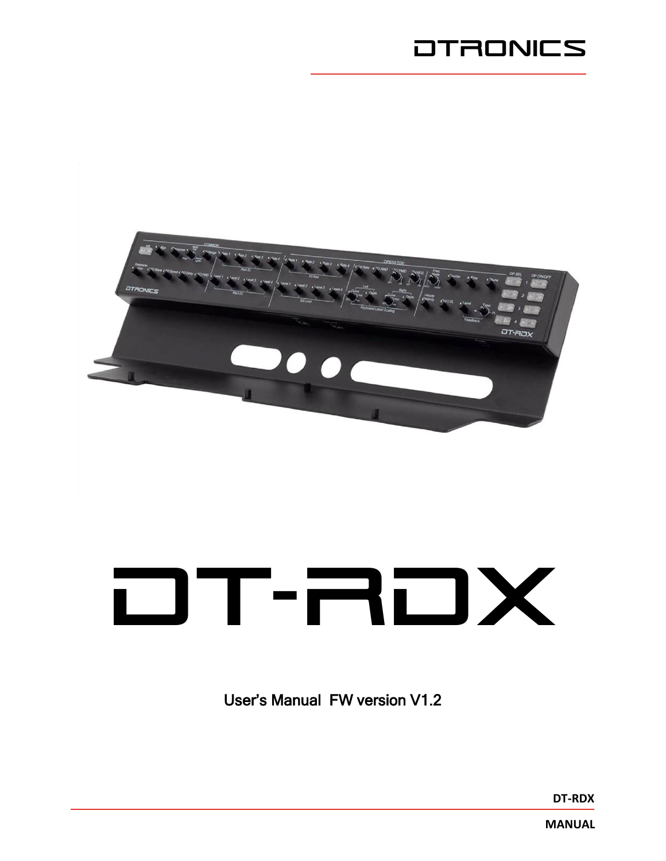## **DTRONICS**



# DT-RDX

User's Manual FW version V1.2

**DT-RDX**

**MANUAL**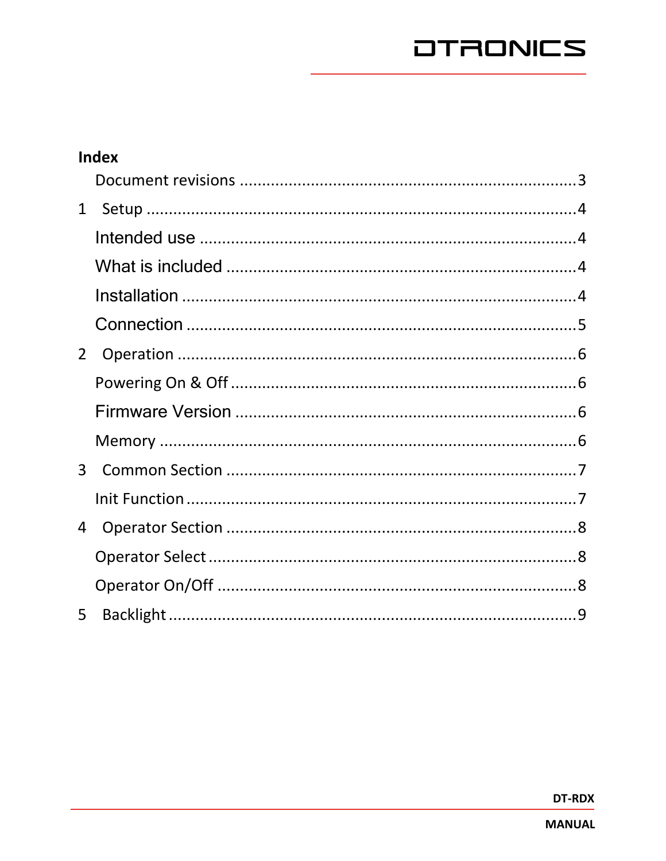|                | <b>Index</b> |  |
|----------------|--------------|--|
|                |              |  |
| $\mathbf{1}$   |              |  |
|                |              |  |
|                |              |  |
|                |              |  |
|                |              |  |
| $2^{\circ}$    |              |  |
|                |              |  |
|                |              |  |
|                |              |  |
| $\overline{3}$ |              |  |
|                |              |  |
| 4              |              |  |
|                |              |  |
|                |              |  |
| 5              |              |  |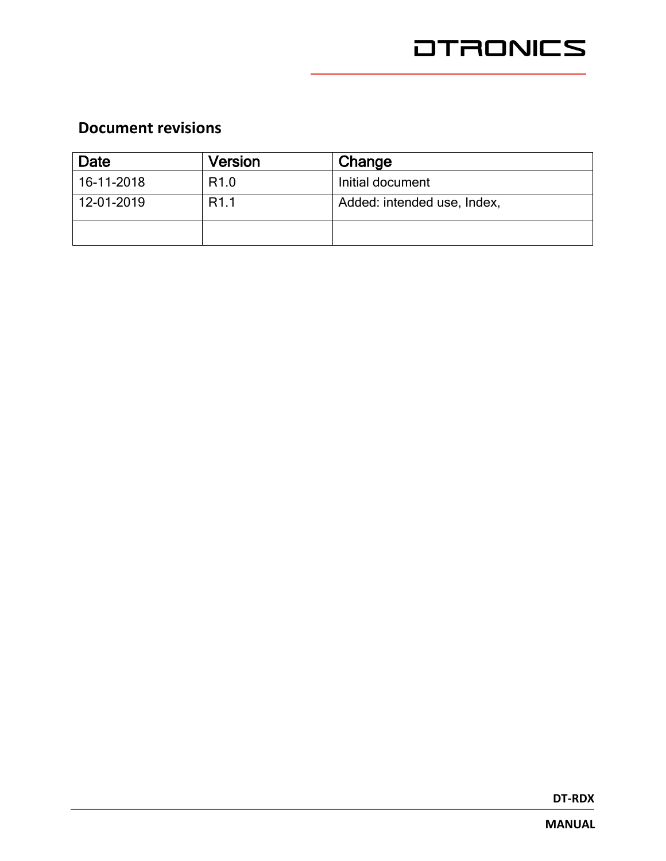## <span id="page-2-0"></span>**Document revisions**

| Date       | Version          | Change                      |
|------------|------------------|-----------------------------|
| 16-11-2018 | R <sub>1.0</sub> | Initial document            |
| 12-01-2019 | R <sub>1.1</sub> | Added: intended use, Index, |
|            |                  |                             |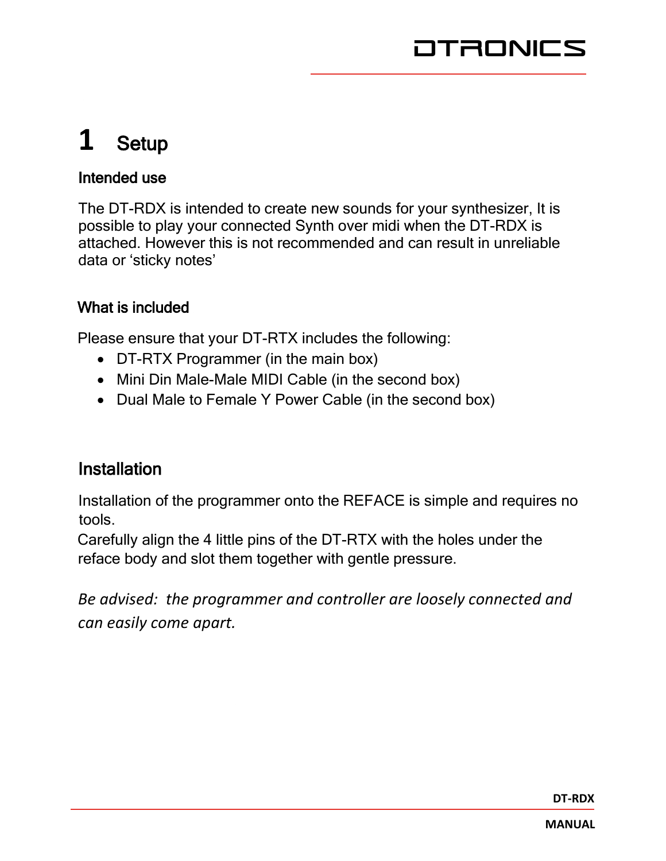# <span id="page-3-0"></span>**1** Setup

#### <span id="page-3-1"></span>Intended use

The DT-RDX is intended to create new sounds for your synthesizer, It is possible to play your connected Synth over midi when the DT-RDX is attached. However this is not recommended and can result in unreliable data or 'sticky notes'

## <span id="page-3-2"></span>What is included

Please ensure that your DT-RTX includes the following:

- DT-RTX Programmer (in the main box)
- Mini Din Male-Male MIDI Cable (in the second box)
- Dual Male to Female Y Power Cable (in the second box)

## <span id="page-3-3"></span>**Installation**

Installation of the programmer onto the REFACE is simple and requires no tools.

Carefully align the 4 little pins of the DT-RTX with the holes under the reface body and slot them together with gentle pressure.

*Be advised: the programmer and controller are loosely connected and can easily come apart.*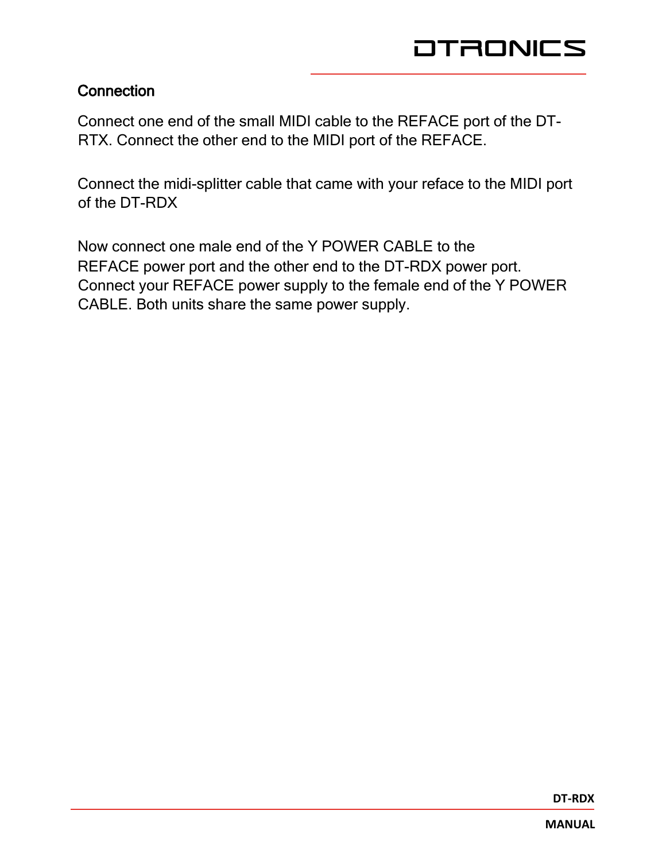#### <span id="page-4-0"></span>**Connection**

Connect one end of the small MIDI cable to the REFACE port of the DT-RTX. Connect the other end to the MIDI port of the REFACE.

Connect the midi-splitter cable that came with your reface to the MIDI port of the DT-RDX

Now connect one male end of the Y POWER CABLE to the REFACE power port and the other end to the DT-RDX power port. Connect your REFACE power supply to the female end of the Y POWER CABLE. Both units share the same power supply.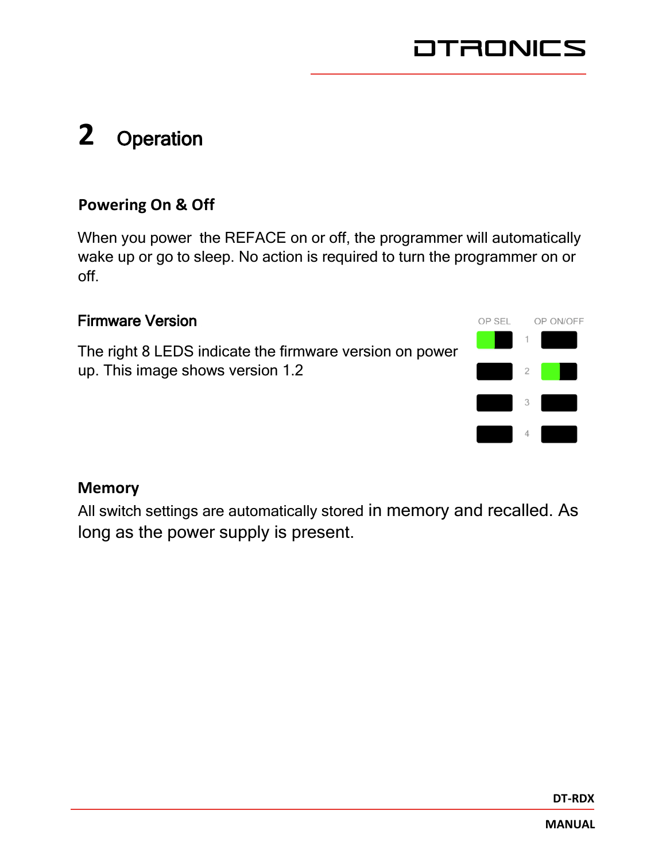# <span id="page-5-0"></span>**2** Operation

## <span id="page-5-1"></span>**Powering On & Off**

When you power the REFACE on or off, the programmer will automatically wake up or go to sleep. No action is required to turn the programmer on or off.

#### <span id="page-5-2"></span>Firmware Version

The right 8 LEDS indicate the firmware version on power up. This image shows version 1.2



## <span id="page-5-3"></span>**Memory**

All switch settings are automatically stored in memory and recalled. As long as the power supply is present.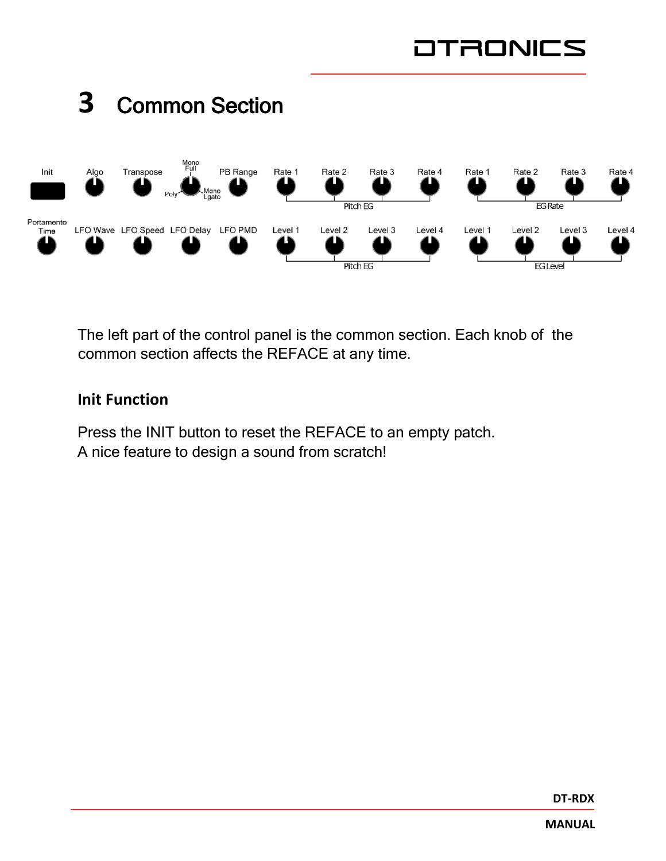<span id="page-6-0"></span>

The left part of the control panel is the common section. Each knob of the common section affects the REFACE at any time.

#### <span id="page-6-1"></span>**Init Function**

Press the INIT button to reset the REFACE to an empty patch. A nice feature to design a sound from scratch!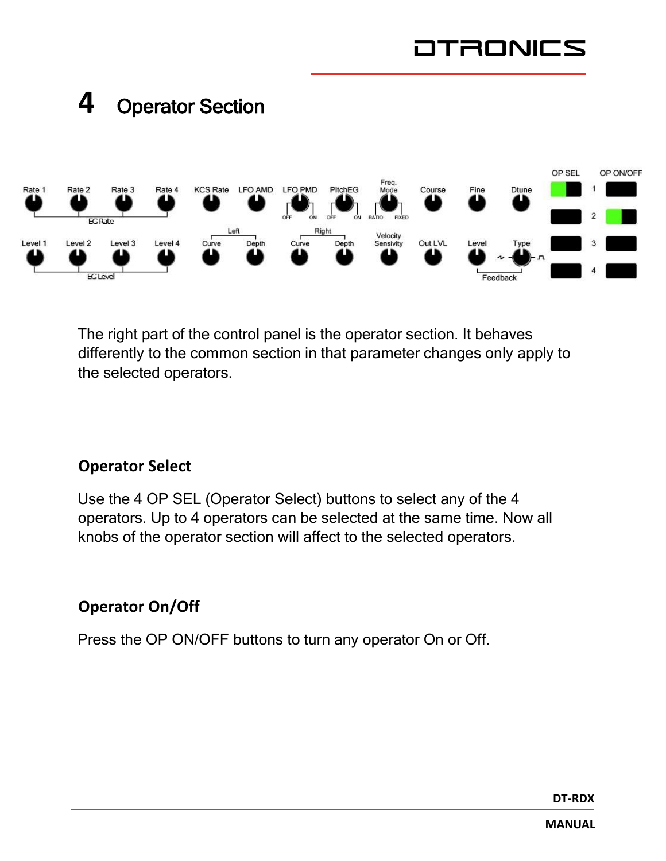<span id="page-7-0"></span>

The right part of the control panel is the operator section. It behaves differently to the common section in that parameter changes only apply to the selected operators.

## <span id="page-7-1"></span>**Operator Select**

Use the 4 OP SEL (Operator Select) buttons to select any of the 4 operators. Up to 4 operators can be selected at the same time. Now all knobs of the operator section will affect to the selected operators.

## <span id="page-7-2"></span>**Operator On/Off**

Press the OP ON/OFF buttons to turn any operator On or Off.